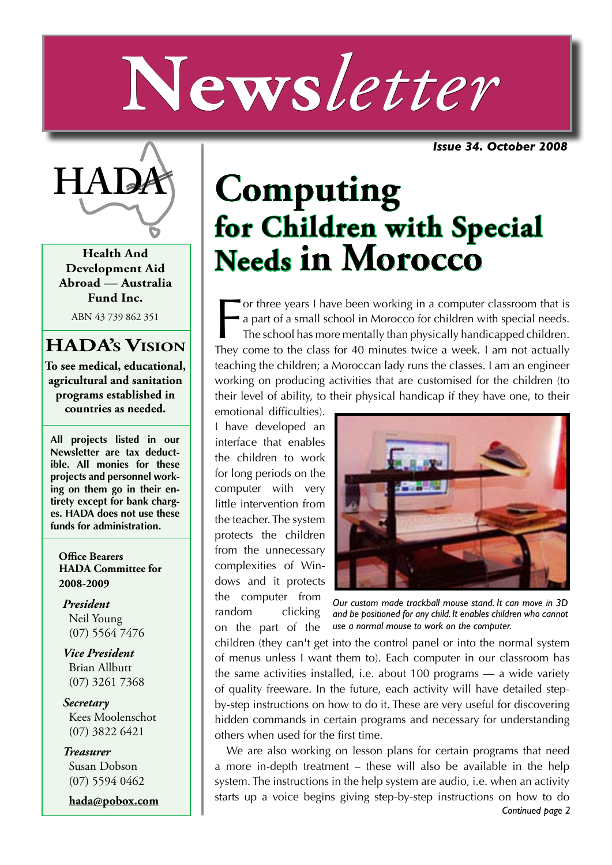# **News***letter*

*Issue 34. October 2008*



**Health And Development Aid Abroad — Australia Fund Inc.**

ABN 43 739 862 351

#### **HADA's Vision**

**To see medical, educational, agricultural and sanitation programs established in countries as needed.**

**All projects listed in our Newsletter are tax deductible. All monies for these projects and personnel working on them go in their entirety except for bank charges. HADA does not use these funds for administration.**

**Office Bearers HADA Committee for 2008-2009**

*President* Neil Young (07) 5564 7476

*Vice President* Brian Allbutt (07) 3261 7368

*Secretary* Kees Moolenschot (07) 3822 6421

*Treasurer* Susan Dobson (07) 5594 0462

**hada@pobox.com**

## **Computing for Children with Special Needs in Morocco**

For three years I have been working in a computer classroom that is<br>a part of a small school in Morocco for children with special needs.<br>The school has more mentally than physically handicapped children.<br>They come to the c or three years I have been working in a computer classroom that is a part of a small school in Morocco for children with special needs. The school has more mentally than physically handicapped children. teaching the children; a Moroccan lady runs the classes. I am an engineer working on producing activities that are customised for the children (to their level of ability, to their physical handicap if they have one, to their

emotional difficulties). I have developed an interface that enables the children to work for long periods on the computer with very little intervention from the teacher. The system protects the children from the unnecessary complexities of Windows and it protects the computer from random clicking on the part of the



*Our custom made trackball mouse stand. It can move in 3D and be positioned for any child. It enables children who cannot use a normal mouse to work on the computer.*

children (they can't get into the control panel or into the normal system of menus unless I want them to). Each computer in our classroom has the same activities installed, i.e. about 100 programs — a wide variety of quality freeware. In the future, each activity will have detailed stepby-step instructions on how to do it. These are very useful for discovering hidden commands in certain programs and necessary for understanding others when used for the first time.

*Continued page 2* We are also working on lesson plans for certain programs that need a more in-depth treatment – these will also be available in the help system. The instructions in the help system are audio, i.e. when an activity starts up a voice begins giving step-by-step instructions on how to do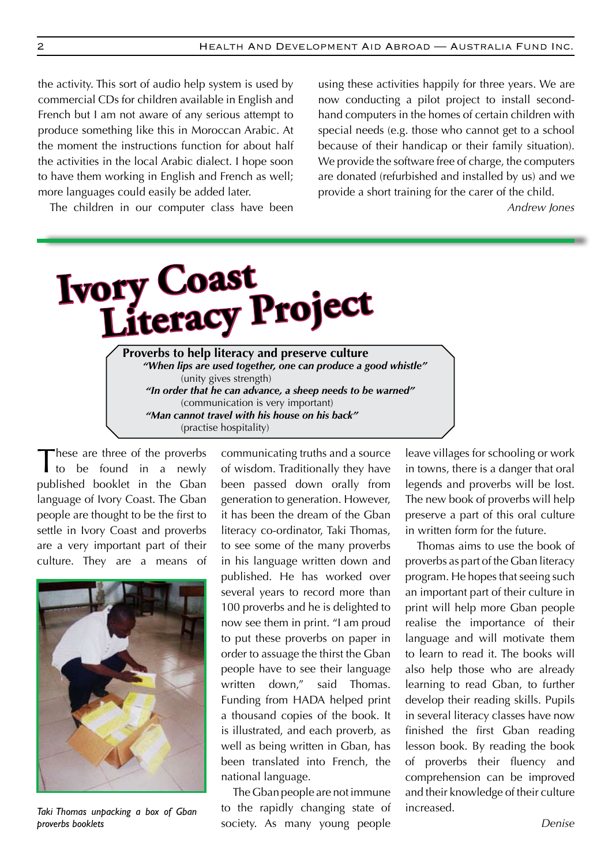the activity. This sort of audio help system is used by commercial CDs for children available in English and French but I am not aware of any serious attempt to produce something like this in Moroccan Arabic. At the moment the instructions function for about half the activities in the local Arabic dialect. I hope soon to have them working in English and French as well; more languages could easily be added later.

The children in our computer class have been

using these activities happily for three years. We are now conducting a pilot project to install secondhand computers in the homes of certain children with special needs (e.g. those who cannot get to a school because of their handicap or their family situation). We provide the software free of charge, the computers are donated (refurbished and installed by us) and we provide a short training for the carer of the child.

*Andrew Jones*

**Ivory Coast Literacy Project Proverbs to help literacy and preserve culture** *"When lips are used together, one can produce a good whistle"*  (unity gives strength) *"In order that he can advance, a sheep needs to be warned"*  (communication is very important) *"Man cannot travel with his house on his back"*

(practise hospitality)

These are three of the proverbs<br>to be found in a newly published booklet in the Gban language of Ivory Coast. The Gban people are thought to be the first to settle in Ivory Coast and proverbs are a very important part of their culture. They are a means of



*Taki Thomas unpacking a box of Gban proverbs booklets*

communicating truths and a source of wisdom. Traditionally they have been passed down orally from generation to generation. However, it has been the dream of the Gban literacy co-ordinator, Taki Thomas, to see some of the many proverbs in his language written down and published. He has worked over several years to record more than 100 proverbs and he is delighted to now see them in print. "I am proud to put these proverbs on paper in order to assuage the thirst the Gban people have to see their language written down," said Thomas. Funding from HADA helped print a thousand copies of the book. It is illustrated, and each proverb, as well as being written in Gban, has been translated into French, the national language.

The Gban people are not immune to the rapidly changing state of society. As many young people

leave villages for schooling or work in towns, there is a danger that oral legends and proverbs will be lost. The new book of proverbs will help preserve a part of this oral culture in written form for the future.

Thomas aims to use the book of proverbs as part of the Gban literacy program. He hopes that seeing such an important part of their culture in print will help more Gban people realise the importance of their language and will motivate them to learn to read it. The books will also help those who are already learning to read Gban, to further develop their reading skills. Pupils in several literacy classes have now finished the first Gban reading lesson book. By reading the book of proverbs their fluency and comprehension can be improved and their knowledge of their culture increased.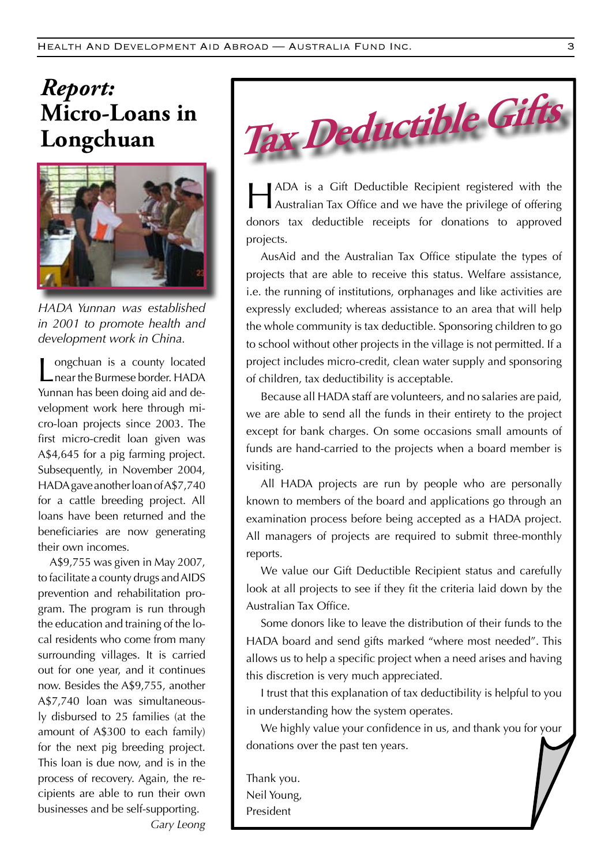### *Report:*  **Micro-Loans in Longchuan**



*HADA Yunnan was established in 2001 to promote health and development work in China.* 

Longchuan is a county located<br>
Lonear the Burmese border. HADA Yunnan has been doing aid and development work here through micro-loan projects since 2003. The first micro-credit loan given was A\$4,645 for a pig farming project. Subsequently, in November 2004, HADA gave another loan of A\$7,740 for a cattle breeding project. All loans have been returned and the beneficiaries are now generating their own incomes.

A\$9,755 was given in May 2007, to facilitate a county drugs and AIDS prevention and rehabilitation program. The program is run through the education and training of the local residents who come from many surrounding villages. It is carried out for one year, and it continues now. Besides the A\$9,755, another A\$7,740 loan was simultaneously disbursed to 25 families (at the amount of A\$300 to each family) for the next pig breeding project. This loan is due now, and is in the process of recovery. Again, the recipients are able to run their own businesses and be self-supporting. *Gary Leong*



HADA is a Gift Deductible Recipient registered with the Australian Tax Office and we have the privilege of offering donors tax deductible receipts for donations to approved projects.

AusAid and the Australian Tax Office stipulate the types of projects that are able to receive this status. Welfare assistance, i.e. the running of institutions, orphanages and like activities are expressly excluded; whereas assistance to an area that will help the whole community is tax deductible. Sponsoring children to go to school without other projects in the village is not permitted. If a project includes micro-credit, clean water supply and sponsoring of children, tax deductibility is acceptable.

Because all HADA staff are volunteers, and no salaries are paid, we are able to send all the funds in their entirety to the project except for bank charges. On some occasions small amounts of funds are hand-carried to the projects when a board member is visiting.

All HADA projects are run by people who are personally known to members of the board and applications go through an examination process before being accepted as a HADA project. All managers of projects are required to submit three-monthly reports.

We value our Gift Deductible Recipient status and carefully look at all projects to see if they fit the criteria laid down by the Australian Tax Office.

Some donors like to leave the distribution of their funds to the HADA board and send gifts marked "where most needed". This allows us to help a specific project when a need arises and having this discretion is very much appreciated.

I trust that this explanation of tax deductibility is helpful to you in understanding how the system operates.

We highly value your confidence in us, and thank you for your donations over the past ten years.

Thank you. Neil Young, President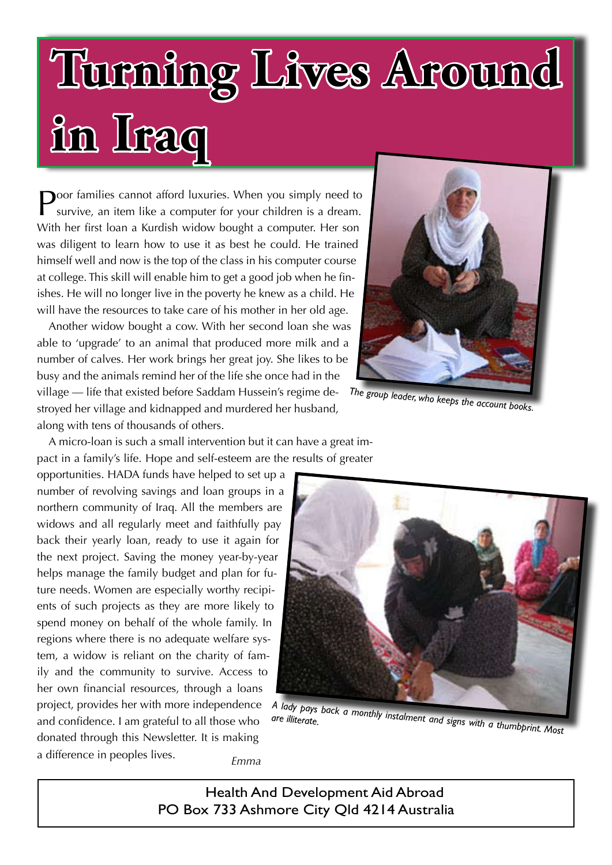## **Turning Lives Around in Iraq**

Poor families cannot afford luxuries. When you simply need to survive, an item like a computer for your children is a dream. With her first loan a Kurdish widow bought a computer. Her son was diligent to learn how to use it as best he could. He trained himself well and now is the top of the class in his computer course at college. This skill will enable him to get a good job when he finishes. He will no longer live in the poverty he knew as a child. He will have the resources to take care of his mother in her old age.

Another widow bought a cow. With her second loan she was able to 'upgrade' to an animal that produced more milk and a number of calves. Her work brings her great joy. She likes to be busy and the animals remind her of the life she once had in the village — life that existed before Saddam Hussein's regime destroyed her village and kidnapped and murdered her husband, along with tens of thousands of others.



*The group leader, who keeps the account books.*

A micro-loan is such a small intervention but it can have a great impact in a family's life. Hope and self-esteem are the results of greater

opportunities. HADA funds have helped to set up a number of revolving savings and loan groups in a northern community of Iraq. All the members are widows and all regularly meet and faithfully pay back their yearly loan, ready to use it again for the next project. Saving the money year-by-year helps manage the family budget and plan for future needs. Women are especially worthy recipients of such projects as they are more likely to spend money on behalf of the whole family. In regions where there is no adequate welfare system, a widow is reliant on the charity of family and the community to survive. Access to her own financial resources, through a loans project, provides her with more independence project, provides her with more independence A lady pays back a monthly instalment and signs with a thumbprint.<br>And confidence. I am grateful to all those who are illiterate. donated through this Newsletter. It is making a difference in peoples lives. *Emma*



*are illiterate.*

Health And Development Aid Abroad PO Box 733 Ashmore City Qld 4214 Australia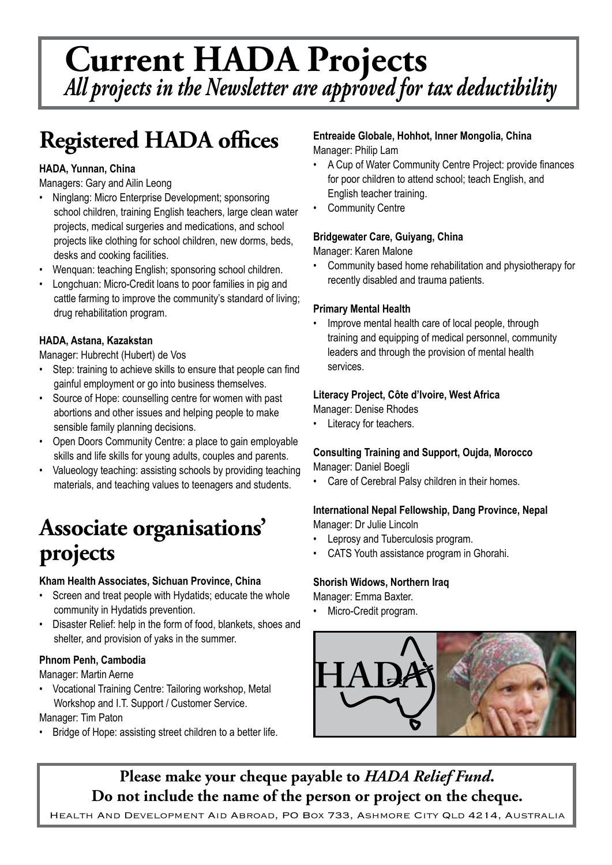## **Current HADA Projects** *All projects in the Newsletter are approved for tax deductibility*

## **Registered HADA offices**

#### **HADA, Yunnan, China**

Managers: Gary and Ailin Leong

- Ninglang: Micro Enterprise Development; sponsoring school children, training English teachers, large clean water projects, medical surgeries and medications, and school projects like clothing for school children, new dorms, beds, desks and cooking facilities.
- Wenquan: teaching English; sponsoring school children.
- Longchuan: Micro-Credit loans to poor families in pig and cattle farming to improve the community's standard of living; drug rehabilitation program.

#### **HADA, Astana, Kazakstan**

Manager: Hubrecht (Hubert) de Vos

- Step: training to achieve skills to ensure that people can find gainful employment or go into business themselves.
- Source of Hope: counselling centre for women with past abortions and other issues and helping people to make sensible family planning decisions.
- • Open Doors Community Centre: a place to gain employable skills and life skills for young adults, couples and parents.
- Valueology teaching: assisting schools by providing teaching materials, and teaching values to teenagers and students.

## **Associate organisations' projects**

#### **Kham Health Associates, Sichuan Province, China**

- Screen and treat people with Hydatids; educate the whole community in Hydatids prevention.
- Disaster Relief: help in the form of food, blankets, shoes and shelter, and provision of yaks in the summer.

#### **Phnom Penh, Cambodia**

Manager: Martin Aerne 

Vocational Training Centre: Tailoring workshop, Metal Workshop and I.T. Support / Customer Service.

Manager: Tim Paton

Bridge of Hope: assisting street children to a better life.

#### **Entreaide Globale, Hohhot, Inner Mongolia, China** Manager: Philip Lam

- A Cup of Water Community Centre Project: provide finances for poor children to attend school; teach English, and English teacher training.
- Community Centre

#### **Bridgewater Care, Guiyang, China**

Manager: Karen Malone

Community based home rehabilitation and physiotherapy for recently disabled and trauma patients.

#### **Primary Mental Health**

Improve mental health care of local people, through training and equipping of medical personnel, community leaders and through the provision of mental health services.

#### **Literacy Project, Côte d'lvoire, West Africa**

Manager: Denise Rhodes

Literacy for teachers.

#### **Consulting Training and Support, Oujda, Morocco** Manager: Daniel Boegli

Care of Cerebral Palsy children in their homes.

#### **International Nepal Fellowship, Dang Province, Nepal** Manager: Dr Julie Lincoln

- Leprosy and Tuberculosis program.
- CATS Youth assistance program in Ghorahi.

#### **Shorish Widows, Northern Iraq**

Manager: Emma Baxter.

Micro-Credit program.



**Please make your cheque payable to** *HADA Relief Fund***. Do not include the name of the person or project on the cheque.**

HEALTH AND DEVELOPMENT AID ABROAD, PO BOX 733, ASHMORE CITY QLD 4214, AUSTRALIA